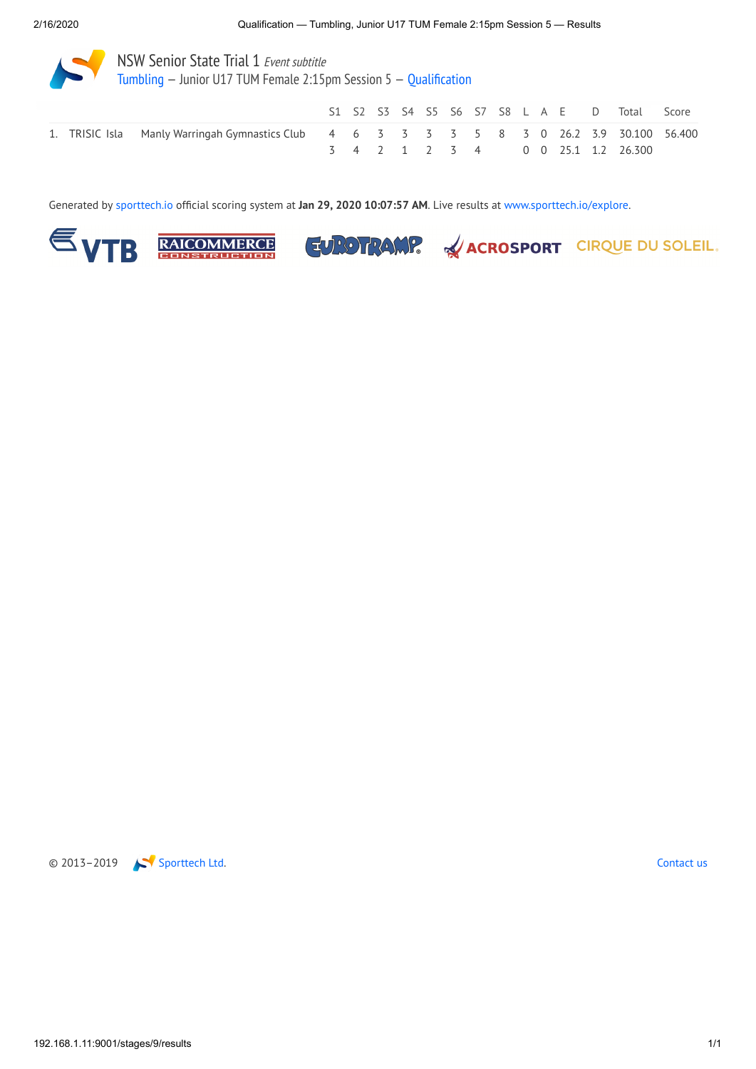

[Tumbling](http://192.168.1.11:9001/event/TUM) — Junior U17 TUM Female 2:15pm Session 5 — [Qualification](http://192.168.1.11:9001/stages/9)

|  |                                                                                           |  |  |  |  |  |  | S1 S2 S3 S4 S5 S6 S7 S8 L A E D Total Score |  |
|--|-------------------------------------------------------------------------------------------|--|--|--|--|--|--|---------------------------------------------|--|
|  | 1. TRISIC Isla Manly Warringah Gymnastics Club 4 6 3 3 3 3 5 8 3 0 26.2 3.9 30.100 56.400 |  |  |  |  |  |  |                                             |  |
|  |                                                                                           |  |  |  |  |  |  | 3 4 2 1 2 3 4 0 0 25.1 1.2 26.300           |  |

Generated by [sporttech.io](https://sporttech.io/) official scoring system at **Jan 29, 2020 10:07:57 AM**. Live results at [www.sporttech.io/explore](https://sporttech.io/explore).









EUROTRAMP. & ACROSPORT CIRQUE DU SOLEIL.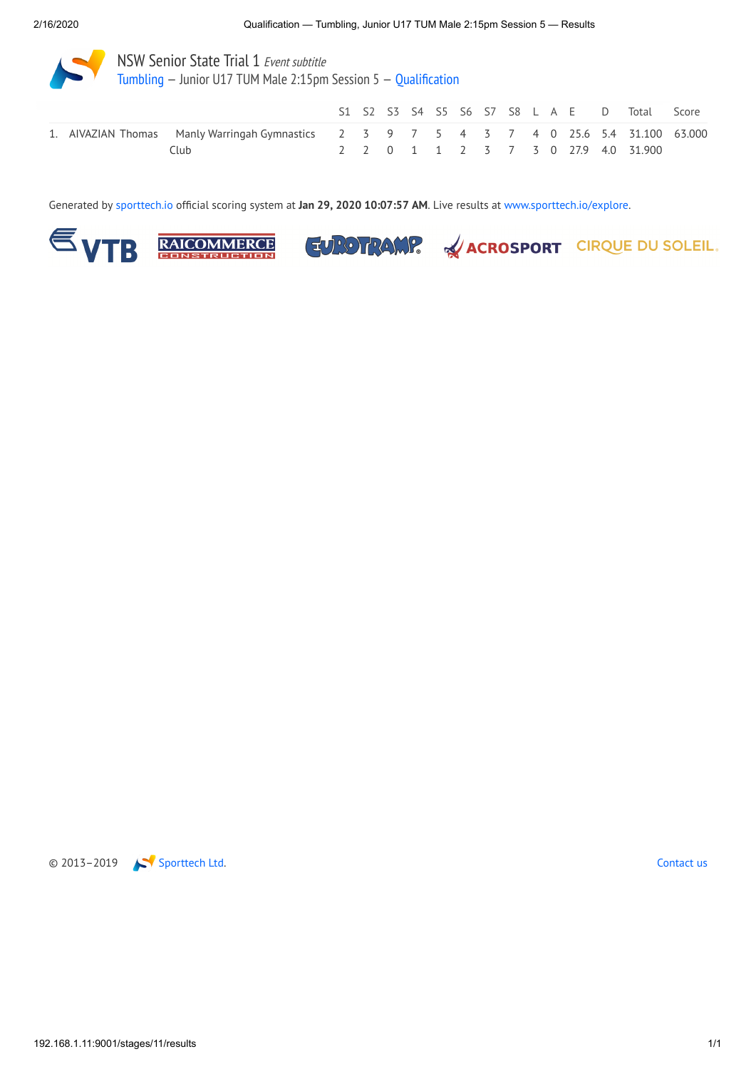

[Tumbling](http://192.168.1.11:9001/event/TUM) — Junior U17 TUM Male 2:15pm Session 5 — [Qualification](http://192.168.1.11:9001/stages/11)

|      |                                                                                          |  |  |  |  |  |  | S1 S2 S3 S4 S5 S6 S7 S8 L A E D Total Score |  |
|------|------------------------------------------------------------------------------------------|--|--|--|--|--|--|---------------------------------------------|--|
|      | 1. AIVAZIAN Thomas Manly Warringah Gymnastics 2 3 9 7 5 4 3 7 4 0 25.6 5.4 31.100 63.000 |  |  |  |  |  |  |                                             |  |
| Club |                                                                                          |  |  |  |  |  |  | 2 2 0 1 1 2 3 7 3 0 27.9 4.0 31.900         |  |

Generated by [sporttech.io](https://sporttech.io/) official scoring system at **Jan 29, 2020 10:07:57 AM**. Live results at [www.sporttech.io/explore](https://sporttech.io/explore).









EUROTRAMP. & ACROSPORT CIRQUE DU SOLEIL.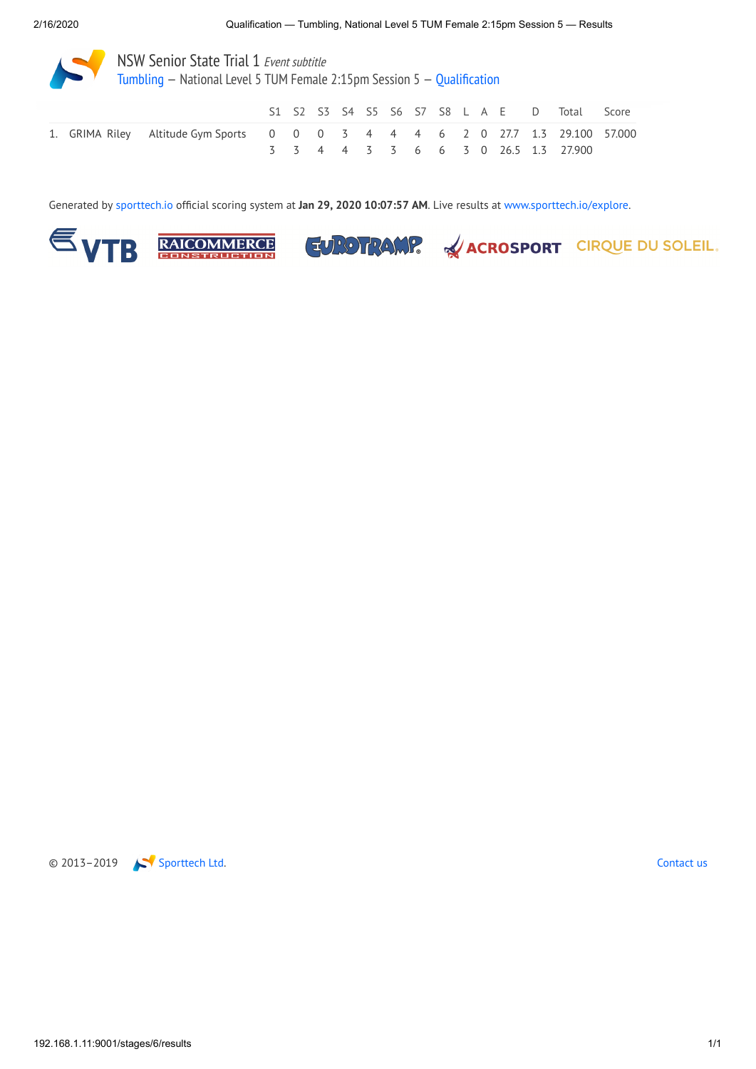NSW Senior State Trial 1 Event subtitle [Tumbling](http://192.168.1.11:9001/event/TUM) — National Level 5 TUM Female 2:15pm Session 5 — [Qualification](http://192.168.1.11:9001/stages/6)

|  |                                                                               |  |  |  |  |  |  | S1 S2 S3 S4 S5 S6 S7 S8 L A E D Total Score |  |
|--|-------------------------------------------------------------------------------|--|--|--|--|--|--|---------------------------------------------|--|
|  | 1. GRIMA Riley Altitude Gym Sports 0 0 0 3 4 4 4 6 2 0 27.7 1.3 29.100 57.000 |  |  |  |  |  |  |                                             |  |
|  |                                                                               |  |  |  |  |  |  | 3 3 4 4 3 3 6 6 3 0 26.5 1.3 27.900         |  |

Generated by [sporttech.io](https://sporttech.io/) official scoring system at **Jan 29, 2020 10:07:57 AM**. Live results at [www.sporttech.io/explore](https://sporttech.io/explore).







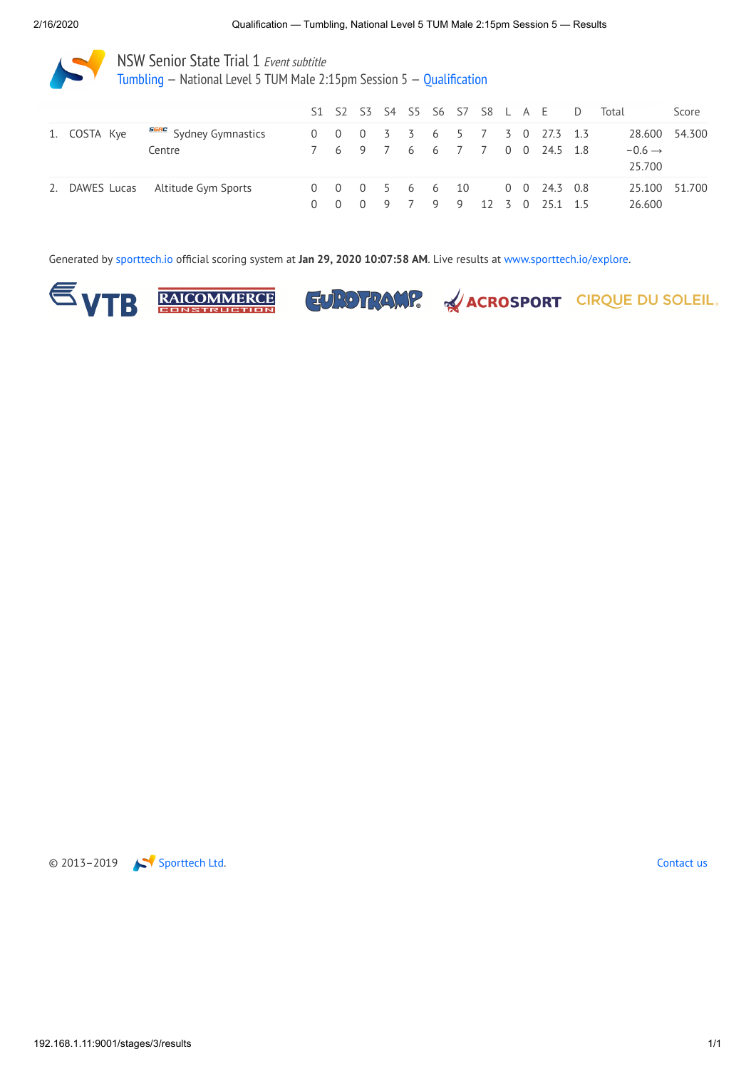[Tumbling](http://192.168.1.11:9001/event/TUM) — National Level 5 TUM Male 2:15pm Session 5 — [Qualification](http://192.168.1.11:9001/stages/3)

|  |                                            |             |  |  |  |  | S1 S2 S3 S4 S5 S6 S7 S8 L A E D                          | Total                        | Score |
|--|--------------------------------------------|-------------|--|--|--|--|----------------------------------------------------------|------------------------------|-------|
|  | 1. COSTA Kye <b>SERC</b> Sydney Gymnastics |             |  |  |  |  | 0 0 0 3 3 6 5 7 3 0 27.3 1.3                             | 28.600 54.300                |       |
|  | Centre                                     |             |  |  |  |  | 7 6 9 7 6 6 7 7 0 0 24.5 1.8                             | $-0.6 \rightarrow$<br>25.700 |       |
|  | 2. DAWES Lucas Altitude Gym Sports         | $0 \quad 0$ |  |  |  |  | 0 0 0 5 6 6 10 0 0 24.3 0.8<br>0 9 7 9 9 12 3 0 25.1 1.5 | 25.100 51.700<br>26.600      |       |

Generated by [sporttech.io](https://sporttech.io/) official scoring system at **Jan 29, 2020 10:07:58 AM**. Live results at [www.sporttech.io/explore](https://sporttech.io/explore).







EUROTRAMP. & ACROSPORT CIRQUE DU SOLEIL.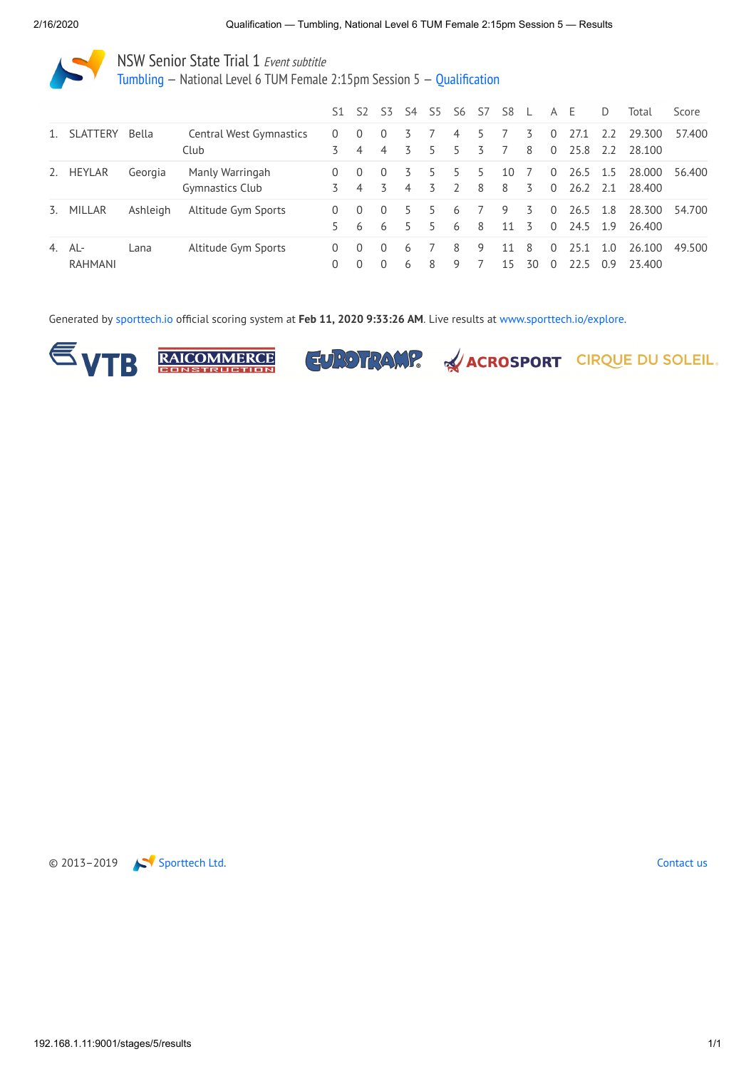[Tumbling](http://192.168.1.11:9001/event/TUM) — National Level 6 TUM Female 2:15pm Session 5 — [Qualification](http://192.168.1.11:9001/stages/5)

|    |                       |          |                                    | S1                   | 52                         | S3                         | S4                  | S5     | S6                  | -S7     | S8             |         | A                    | - E              | D          | Total            | Score  |
|----|-----------------------|----------|------------------------------------|----------------------|----------------------------|----------------------------|---------------------|--------|---------------------|---------|----------------|---------|----------------------|------------------|------------|------------------|--------|
| 1. | <b>SLATTERY</b>       | Bella    | Central West Gymnastics<br>Club    | $\Omega$             | $\Omega$<br>$\overline{4}$ | $\Omega$<br>$\overline{4}$ | 3                   | 5      | 4<br>5              | 5.<br>3 | $\overline{7}$ | 3<br>8  | 0<br>$\Omega$        | 27.1<br>25.8 2.2 | 2.2        | 29.300<br>28.100 | 57.400 |
| 2. | HEYLAR                | Georgia  | Manly Warringah<br>Gymnastics Club | $\Omega$<br>3        | $\Omega$<br>$\overline{4}$ | $\Omega$<br>3              | 3<br>$\overline{4}$ | 5<br>3 | 5<br>$\overline{2}$ | 5<br>8  | 10<br>8        | 7<br>3  | $\Omega$<br>$\Omega$ | 26.5 1.5<br>26.2 | 2.1        | 28.000<br>28.400 | 56.400 |
| 3. | MILLAR                | Ashleigh | Altitude Gym Sports                | $\Omega$<br>5.       | $\Omega$<br>6              | $\Omega$<br>6              | 5<br>5              | 5<br>5 | 6<br>6              | - 8     | 9<br>11        | 3<br>3  | $\Omega$<br>$\Omega$ | 26.5<br>24.5 1.9 | 1.8        | 28.300<br>26.400 | 54.700 |
| 4. | AL-<br><b>RAHMANI</b> | Lana     | Altitude Gym Sports                | $\Omega$<br>$\Omega$ | $\Omega$<br>$\Omega$       | $\Omega$<br>$\Omega$       | 6<br>6              | 8      | 8<br>9              | 9       | 11<br>15       | 8<br>30 | $\Omega$<br>$\Omega$ | 25.1<br>22 5     | 1.0<br>0.9 | 26.100<br>23.400 | 49.500 |

Generated by [sporttech.io](https://sporttech.io/) official scoring system at **Feb 11, 2020 9:33:26 AM**. Live results at [www.sporttech.io/explore.](https://sporttech.io/explore)







EUROTRAMP. & ACROSPORT CIRQUE DU SOLEIL.